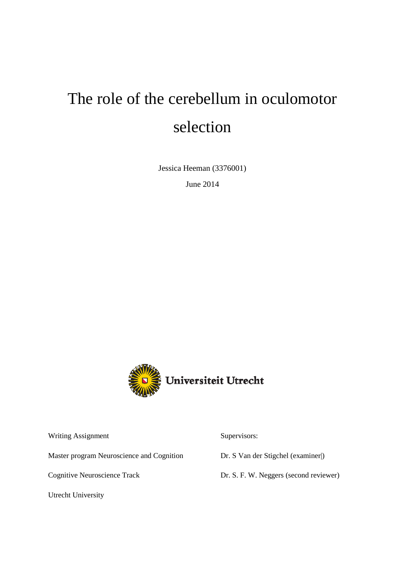# The role of the cerebellum in oculomotor selection

Jessica Heeman (3376001)

June 2014



Writing Assignment

Master program Neuroscience and Cognition

Cognitive Neuroscience Track

Utrecht University

Supervisors:

Dr. S Van der Stigchel (examiner|)

Dr. S. F. W. Neggers (second reviewer)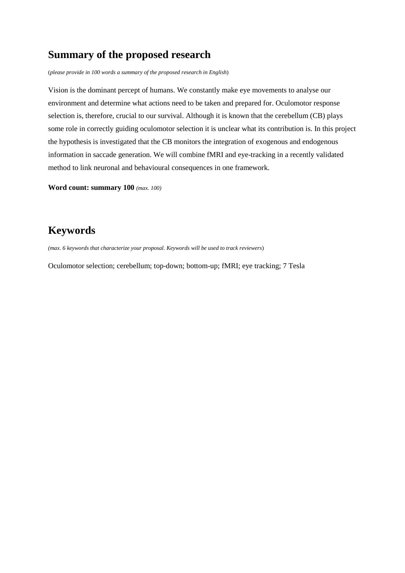## **Summary of the proposed research**

(*please provide in 100 words a summary of the proposed research in English*)

Vision is the dominant percept of humans. We constantly make eye movements to analyse our environment and determine what actions need to be taken and prepared for. Oculomotor response selection is, therefore, crucial to our survival. Although it is known that the cerebellum (CB) plays some role in correctly guiding oculomotor selection it is unclear what its contribution is. In this project the hypothesis is investigated that the CB monitors the integration of exogenous and endogenous information in saccade generation. We will combine fMRI and eye-tracking in a recently validated method to link neuronal and behavioural consequences in one framework.

**Word count: summary 100** *(max. 100)*

# **Keywords**

*(max. 6 keywords that characterize your proposal. Keywords will be used to track reviewers*)

Oculomotor selection; cerebellum; top-down; bottom-up; fMRI; eye tracking; 7 Tesla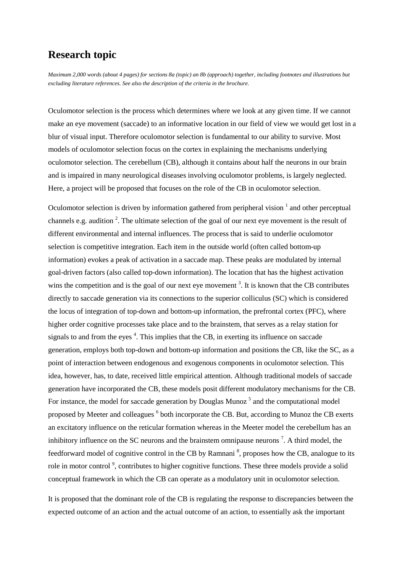### **Research topic**

*Maximum 2,000 words (about 4 pages) for sections 8a (topic) an 8b (approach) together, including footnotes and illustrations but excluding literature references. See also the description of the criteria in the brochure.*

Oculomotor selection is the process which determines where we look at any given time. If we cannot make an eye movement (saccade) to an informative location in our field of view we would get lost in a blur of visual input. Therefore oculomotor selection is fundamental to our ability to survive. Most models of oculomotor selection focus on the cortex in explaining the mechanisms underlying oculomotor selection. The cerebellum (CB), although it contains about half the neurons in our brain and is impaired in many neurological diseases involving oculomotor problems, is largely neglected. Here, a project will be proposed that focuses on the role of the CB in oculomotor selection.

Oculomotor selection is driven by information gathered from peripheral vision  $\frac{1}{1}$  and other perceptual channels e.g. audition  $2$ . The ultimate selection of the goal of our next eye movement is the result of different environmental and internal influences. The process that is said to underlie oculomotor selection is competitive integration. Each item in the outside world (often called bottom-up information) evokes a peak of activation in a saccade map. These peaks are modulated by internal goal-driven factors (also called top-down information). The location that has the highest activation wins the competition and is the goal of our next eye movement<sup>3</sup>. It is known that the CB contributes directly to saccade generation via its connections to the superior colliculus (SC) which is considered the locus of integration of top-down and bottom-up information, the prefrontal cortex (PFC), where higher order cognitive processes take place and to the brainstem, that serves as a relay station for signals to and from the eyes<sup>4</sup>. This implies that the CB, in exerting its influence on saccade generation, employs both top-down and bottom-up information and positions the CB, like the SC, as a point of interaction between endogenous and exogenous components in oculomotor selection. This idea, however, has, to date, received little empirical attention. Although traditional models of saccade generation have incorporated the CB, these models posit different modulatory mechanisms for the CB. For instance, the model for saccade generation by Douglas Munoz<sup>5</sup> and the computational model proposed by Meeter and colleagues 6 both incorporate the CB. But, according to Munoz the CB exerts an excitatory influence on the reticular formation whereas in the Meeter model the cerebellum has an inhibitory influence on the SC neurons and the brainstem omnipause neurons<sup>7</sup>. A third model, the feedforward model of cognitive control in the CB by Ramnani<sup>8</sup>, proposes how the CB, analogue to its role in motor control<sup>9</sup>, contributes to higher cognitive functions. These three models provide a solid conceptual framework in which the CB can operate as a modulatory unit in oculomotor selection.

It is proposed that the dominant role of the CB is regulating the response to discrepancies between the expected outcome of an action and the actual outcome of an action, to essentially ask the important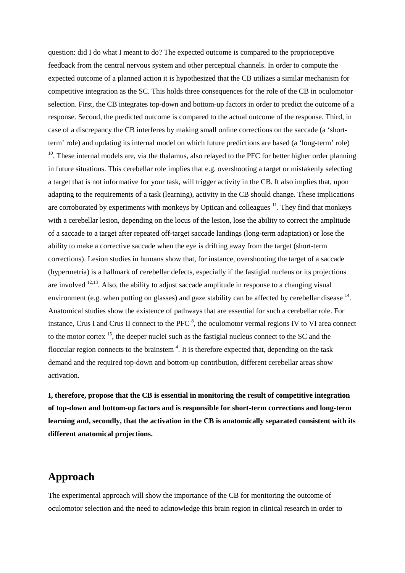question: did I do what I meant to do? The expected outcome is compared to the proprioceptive feedback from the central nervous system and other perceptual channels. In order to compute the expected outcome of a planned action it is hypothesized that the CB utilizes a similar mechanism for competitive integration as the SC. This holds three consequences for the role of the CB in oculomotor selection. First, the CB integrates top-down and bottom-up factors in order to predict the outcome of a response. Second, the predicted outcome is compared to the actual outcome of the response. Third, in case of a discrepancy the CB interferes by making small online corrections on the saccade (a 'shortterm' role) and updating its internal model on which future predictions are based (a 'long-term' role)

<sup>10</sup>. These internal models are, via the thalamus, also relayed to the PFC for better higher order planning in future situations. This cerebellar role implies that e.g. overshooting a target or mistakenly selecting a target that is not informative for your task, will trigger activity in the CB. It also implies that, upon adapting to the requirements of a task (learning), activity in the CB should change. These implications are corroborated by experiments with monkeys by Optican and colleagues  $11$ . They find that monkeys with a cerebellar lesion, depending on the locus of the lesion, lose the ability to correct the amplitude of a saccade to a target after repeated off-target saccade landings (long-term adaptation) or lose the ability to make a corrective saccade when the eye is drifting away from the target (short-term corrections). Lesion studies in humans show that, for instance, overshooting the target of a saccade (hypermetria) is a hallmark of cerebellar defects, especially if the fastigial nucleus or its projections are involved  $12,13$ . Also, the ability to adjust saccade amplitude in response to a changing visual environment (e.g. when putting on glasses) and gaze stability can be affected by cerebellar disease <sup>14</sup>. Anatomical studies show the existence of pathways that are essential for such a cerebellar role. For instance, Crus I and Crus II connect to the PFC  $<sup>8</sup>$ , the oculomotor vermal regions IV to VI area connect</sup> to the motor cortex <sup>15</sup>, the deeper nuclei such as the fastigial nucleus connect to the SC and the floccular region connects to the brainstem<sup>4</sup>. It is therefore expected that, depending on the task demand and the required top-down and bottom-up contribution, different cerebellar areas show activation.

**I, therefore, propose that the CB is essential in monitoring the result of competitive integration of top-down and bottom-up factors and is responsible for short-term corrections and long-term learning and, secondly, that the activation in the CB is anatomically separated consistent with its different anatomical projections.**

### **Approach**

The experimental approach will show the importance of the CB for monitoring the outcome of oculomotor selection and the need to acknowledge this brain region in clinical research in order to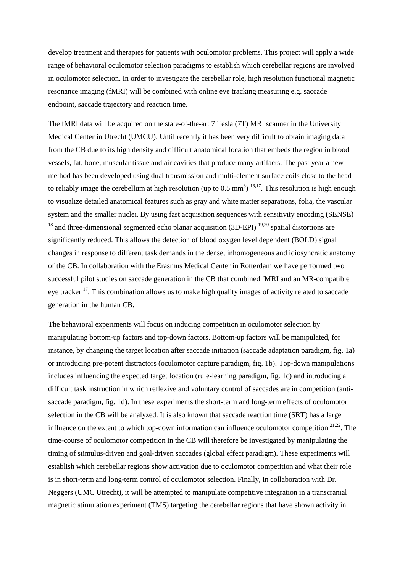develop treatment and therapies for patients with oculomotor problems. This project will apply a wide range of behavioral oculomotor selection paradigms to establish which cerebellar regions are involved in oculomotor selection. In order to investigate the cerebellar role, high resolution functional magnetic resonance imaging (fMRI) will be combined with online eye tracking measuring e.g. saccade endpoint, saccade trajectory and reaction time.

The fMRI data will be acquired on the state-of-the-art 7 Tesla (7T) MRI scanner in the University Medical Center in Utrecht (UMCU). Until recently it has been very difficult to obtain imaging data from the CB due to its high density and difficult anatomical location that embeds the region in blood vessels, fat, bone, muscular tissue and air cavities that produce many artifacts. The past year a new method has been developed using dual transmission and multi-element surface coils close to the head to reliably image the cerebellum at high resolution (up to  $0.5 \text{ mm}^3$ )  $^{16,17}$ . This resolution is high enough to visualize detailed anatomical features such as gray and white matter separations, folia, the vascular system and the smaller nuclei. By using fast acquisition sequences with sensitivity encoding (SENSE)  $18$  and three-dimensional segmented echo planar acquisition (3D-EPI)  $19,20$  spatial distortions are significantly reduced. This allows the detection of blood oxygen level dependent (BOLD) signal changes in response to different task demands in the dense, inhomogeneous and idiosyncratic anatomy of the CB. In collaboration with the Erasmus Medical Center in Rotterdam we have performed two successful pilot studies on saccade generation in the CB that combined fMRI and an MR-compatible eye tracker <sup>17</sup>. This combination allows us to make high quality images of activity related to saccade generation in the human CB.

The behavioral experiments will focus on inducing competition in oculomotor selection by manipulating bottom-up factors and top-down factors. Bottom-up factors will be manipulated, for instance, by changing the target location after saccade initiation (saccade adaptation paradigm, fig. 1a) or introducing pre-potent distractors (oculomotor capture paradigm, fig. 1b). Top-down manipulations includes influencing the expected target location (rule-learning paradigm, fig. 1c) and introducing a difficult task instruction in which reflexive and voluntary control of saccades are in competition (antisaccade paradigm, fig. 1d). In these experiments the short-term and long-term effects of oculomotor selection in the CB will be analyzed. It is also known that saccade reaction time (SRT) has a large influence on the extent to which top-down information can influence oculomotor competition <sup>21,22</sup>. The time-course of oculomotor competition in the CB will therefore be investigated by manipulating the timing of stimulus-driven and goal-driven saccades (global effect paradigm). These experiments will establish which cerebellar regions show activation due to oculomotor competition and what their role is in short-term and long-term control of oculomotor selection. Finally, in collaboration with Dr. Neggers (UMC Utrecht), it will be attempted to manipulate competitive integration in a transcranial magnetic stimulation experiment (TMS) targeting the cerebellar regions that have shown activity in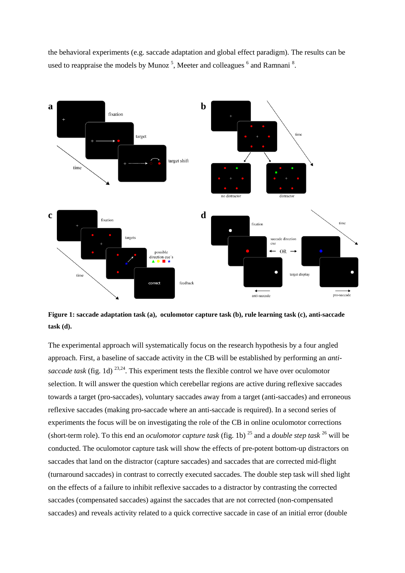



**Figure 1: saccade adaptation task (a), oculomotor capture task (b), rule learning task (c), anti-saccade task (d).**

The experimental approach will systematically focus on the research hypothesis by a four angled approach. First, a baseline of saccade activity in the CB will be established by performing an *antisaccade task* (fig. 1d) 23,24. This experiment tests the flexible control we have over oculomotor selection. It will answer the question which cerebellar regions are active during reflexive saccades towards a target (pro-saccades), voluntary saccades away from a target (anti-saccades) and erroneous reflexive saccades (making pro-saccade where an anti-saccade is required). In a second series of experiments the focus will be on investigating the role of the CB in online oculomotor corrections (short-term role). To this end an *oculomotor capture task* (fig. 1b) <sup>25</sup> and a *double step task* <sup>26</sup> will be conducted. The oculomotor capture task will show the effects of pre-potent bottom-up distractors on saccades that land on the distractor (capture saccades) and saccades that are corrected mid-flight (turnaround saccades) in contrast to correctly executed saccades. The double step task will shed light on the effects of a failure to inhibit reflexive saccades to a distractor by contrasting the corrected saccades (compensated saccades) against the saccades that are not corrected (non-compensated saccades) and reveals activity related to a quick corrective saccade in case of an initial error (double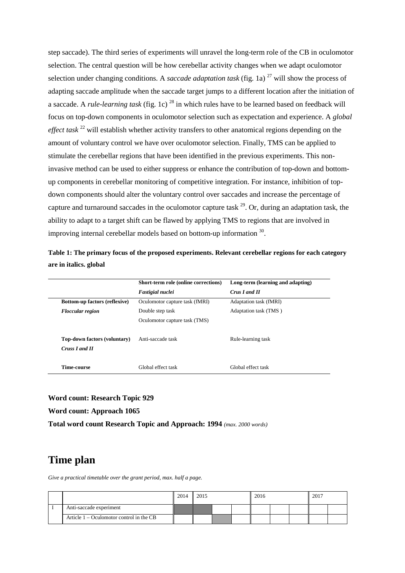step saccade). The third series of experiments will unravel the long-term role of the CB in oculomotor selection. The central question will be how cerebellar activity changes when we adapt oculomotor selection under changing conditions. A *saccade adaptation task* (fig. 1a)  $^{27}$  will show the process of adapting saccade amplitude when the saccade target jumps to a different location after the initiation of a saccade. A *rule-learning task* (fig. 1c) <sup>28</sup> in which rules have to be learned based on feedback will focus on top-down components in oculomotor selection such as expectation and experience. A *global effect task* <sup>22</sup> will establish whether activity transfers to other anatomical regions depending on the amount of voluntary control we have over oculomotor selection. Finally, TMS can be applied to stimulate the cerebellar regions that have been identified in the previous experiments. This noninvasive method can be used to either suppress or enhance the contribution of top-down and bottomup components in cerebellar monitoring of competitive integration. For instance, inhibition of topdown components should alter the voluntary control over saccades and increase the percentage of capture and turnaround saccades in the oculomotor capture task  $^{29}$ . Or, during an adaptation task, the ability to adapt to a target shift can be flawed by applying TMS to regions that are involved in improving internal cerebellar models based on bottom-up information 30.

**Table 1: The primary focus of the proposed experiments. Relevant cerebellar regions for each category are in italics. global**

|                                      | Short-term role (online corrections) | Long-term (learning and adapting) |
|--------------------------------------|--------------------------------------|-----------------------------------|
|                                      | <b>Fastigial nuclei</b>              | Crus I and II                     |
| <b>Bottom-up factors (reflexive)</b> | Oculomotor capture task (fMRI)       | Adaptation task (fMRI)            |
| <b>Floccular region</b>              | Double step task                     | Adaptation task (TMS)             |
|                                      | Oculomotor capture task (TMS)        |                                   |
| <b>Top-down factors (voluntary)</b>  | Anti-saccade task                    | Rule-learning task                |
| Cruss I and II                       |                                      |                                   |
| Time-course                          | Global effect task                   | Global effect task                |

**Word count: Research Topic 929**

**Word count: Approach 1065**

**Total word count Research Topic and Approach: 1994** *(max. 2000 words)*

### **Time plan**

*Give a practical timetable over the grant period, max. half a page.*

|                                            | 2014 | 2015 |  | 2016 |  |  | $-201^{-}$ |  |  |
|--------------------------------------------|------|------|--|------|--|--|------------|--|--|
| Anti-saccade experiment                    |      |      |  |      |  |  |            |  |  |
| Article $1 -$ Oculomotor control in the CB |      |      |  |      |  |  |            |  |  |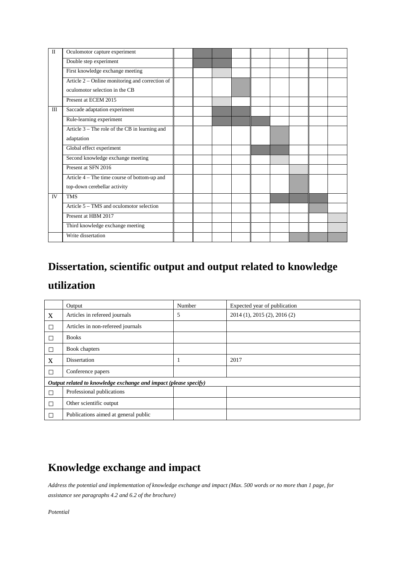| $\mathbf{I}$ | Oculomotor capture experiment                   |  |  |  |  |  |
|--------------|-------------------------------------------------|--|--|--|--|--|
|              | Double step experiment                          |  |  |  |  |  |
|              | First knowledge exchange meeting                |  |  |  |  |  |
|              | Article 2 – Online monitoring and correction of |  |  |  |  |  |
|              | oculomotor selection in the CB                  |  |  |  |  |  |
|              | Present at ECEM 2015                            |  |  |  |  |  |
| III          | Saccade adaptation experiment                   |  |  |  |  |  |
|              | Rule-learning experiment                        |  |  |  |  |  |
|              | Article 3 – The role of the CB in learning and  |  |  |  |  |  |
|              | adaptation                                      |  |  |  |  |  |
|              | Global effect experiment                        |  |  |  |  |  |
|              | Second knowledge exchange meeting               |  |  |  |  |  |
|              | Present at SFN 2016                             |  |  |  |  |  |
|              | Article 4 – The time course of bottom-up and    |  |  |  |  |  |
|              | top-down cerebellar activity                    |  |  |  |  |  |
| IV           | <b>TMS</b>                                      |  |  |  |  |  |
|              | Article 5 – TMS and oculomotor selection        |  |  |  |  |  |
|              | Present at HBM 2017                             |  |  |  |  |  |
|              | Third knowledge exchange meeting                |  |  |  |  |  |
|              | Write dissertation                              |  |  |  |  |  |

# **Dissertation, scientific output and output related to knowledge utilization**

|        | Output                                                           | Number | Expected year of publication |
|--------|------------------------------------------------------------------|--------|------------------------------|
| X      | Articles in refereed journals                                    | 5      | 2014 (1), 2015 (2), 2016 (2) |
| $\Box$ | Articles in non-refereed journals                                |        |                              |
| $\Box$ | <b>Books</b>                                                     |        |                              |
| $\Box$ | Book chapters                                                    |        |                              |
| X      | Dissertation                                                     |        | 2017                         |
| П      | Conference papers                                                |        |                              |
|        | Output related to knowledge exchange and impact (please specify) |        |                              |
| $\Box$ | Professional publications                                        |        |                              |
| $\Box$ | Other scientific output                                          |        |                              |
| П      | Publications aimed at general public                             |        |                              |

# **Knowledge exchange and impact**

*Address the potential and implementation of knowledge exchange and impact (Max. 500 words or no more than 1 page, for assistance see paragraphs 4.2 and 6.2 of the brochure)*

*Potential*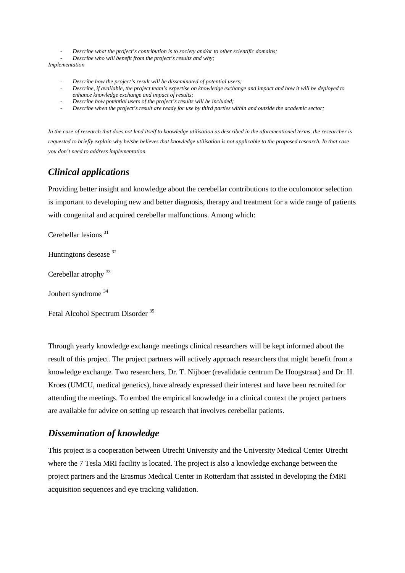- *Describe what the project's contribution is to society and/or to other scientific domains;*
- *Describe who will benefit from the project's results and why;*

*Implementation*

- *Describe how the project's result will be disseminated of potential users;*
- *Describe, if available, the project team's expertise on knowledge exchange and impact and how it will be deployed to enhance knowledge exchange and impact of results;*
- *Describe how potential users of the project's results will be included;*
- *Describe when the project's result are ready for use by third parties within and outside the academic sector;*

*In the case of research that does not lend itself to knowledge utilisation as described in the aforementioned terms, the researcher is requested to briefly explain why he/she believes that knowledge utilisation is not applicable to the proposed research. In that case you don't need to address implementation.*

#### *Clinical applications*

Providing better insight and knowledge about the cerebellar contributions to the oculomotor selection is important to developing new and better diagnosis, therapy and treatment for a wide range of patients with congenital and acquired cerebellar malfunctions. Among which:

Cerebellar lesions<sup>31</sup>

Huntingtons desease 32

Cerebellar atrophy<sup>33</sup>

Joubert syndrome <sup>34</sup>

Fetal Alcohol Spectrum Disorder<sup>35</sup>

Through yearly knowledge exchange meetings clinical researchers will be kept informed about the result of this project. The project partners will actively approach researchers that might benefit from a knowledge exchange. Two researchers, Dr. T. Nijboer (revalidatie centrum De Hoogstraat) and Dr. H. Kroes (UMCU, medical genetics), have already expressed their interest and have been recruited for attending the meetings. To embed the empirical knowledge in a clinical context the project partners are available for advice on setting up research that involves cerebellar patients.

#### *Dissemination of knowledge*

This project is a cooperation between Utrecht University and the University Medical Center Utrecht where the 7 Tesla MRI facility is located. The project is also a knowledge exchange between the project partners and the Erasmus Medical Center in Rotterdam that assisted in developing the fMRI acquisition sequences and eye tracking validation.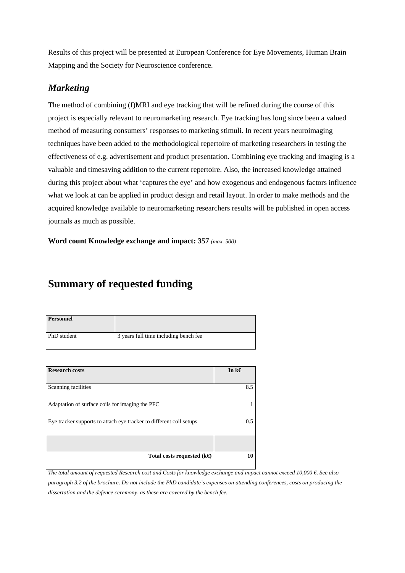Results of this project will be presented at European Conference for Eye Movements, Human Brain Mapping and the Society for Neuroscience conference.

### *Marketing*

The method of combining (f)MRI and eye tracking that will be refined during the course of this project is especially relevant to neuromarketing research. Eye tracking has long since been a valued method of measuring consumers' responses to marketing stimuli. In recent years neuroimaging techniques have been added to the methodological repertoire of marketing researchers in testing the effectiveness of e.g. advertisement and product presentation. Combining eye tracking and imaging is a valuable and timesaving addition to the current repertoire. Also, the increased knowledge attained during this project about what 'captures the eye' and how exogenous and endogenous factors influence what we look at can be applied in product design and retail layout. In order to make methods and the acquired knowledge available to neuromarketing researchers results will be published in open access journals as much as possible.

**Word count Knowledge exchange and impact: 357** *(max. 500)*

# **Summary of requested funding**

| <b>Personnel</b> |                                       |
|------------------|---------------------------------------|
| PhD student      | 3 years full time including bench fee |

| <b>Research costs</b>                                               | In $k \in$    |
|---------------------------------------------------------------------|---------------|
| Scanning facilities                                                 | 8.5           |
| Adaptation of surface coils for imaging the PFC                     |               |
| Eye tracker supports to attach eye tracker to different coil setups | $0.5^{\circ}$ |
|                                                                     |               |
| Total costs requested ( $k \oplus$                                  | 10            |

*The total amount of requested Research cost and Costs for knowledge exchange and impact cannot exceed 10,000 €. See also paragraph 3.2 of the brochure. Do not include the PhD candidate's expenses on attending conferences, costs on producing the dissertation and the defence ceremony, as these are covered by the bench fee.*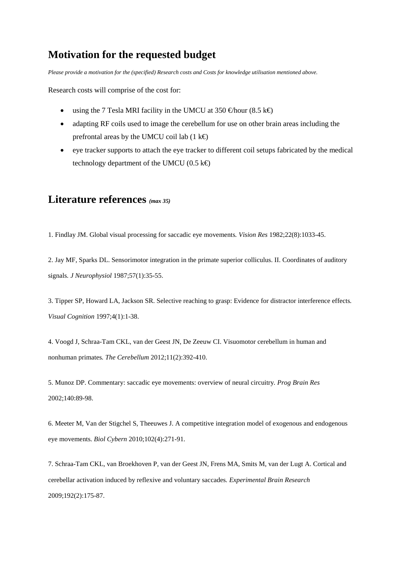## **Motivation for the requested budget**

*Please provide a motivation for the (specified) Research costs and Costs for knowledge utilisation mentioned above.* 

Research costs will comprise of the cost for:

- using the 7 Tesla MRI facility in the UMCU at 350  $\in$ hour (8.5 k $\in$ )
- adapting RF coils used to image the cerebellum for use on other brain areas including the prefrontal areas by the UMCU coil lab (1 k $\Theta$ )
- eye tracker supports to attach the eye tracker to different coil setups fabricated by the medical technology department of the UMCU (0.5  $k \in$ )

### **Literature references** *(max 35)*

1. Findlay JM. Global visual processing for saccadic eye movements*. Vision Res* 1982;22(8):1033-45.

2. Jay MF, Sparks DL. Sensorimotor integration in the primate superior colliculus. II. Coordinates of auditory signals*. J Neurophysiol* 1987;57(1):35-55.

3. Tipper SP, Howard LA, Jackson SR. Selective reaching to grasp: Evidence for distractor interference effects*. Visual Cognition* 1997;4(1):1-38.

4. Voogd J, Schraa-Tam CKL, van der Geest JN, De Zeeuw CI. Visuomotor cerebellum in human and nonhuman primates*. The Cerebellum* 2012;11(2):392-410.

5. Munoz DP. Commentary: saccadic eye movements: overview of neural circuitry*. Prog Brain Res* 2002;140:89-98.

6. Meeter M, Van der Stigchel S, Theeuwes J. A competitive integration model of exogenous and endogenous eye movements*. Biol Cybern* 2010;102(4):271-91.

7. Schraa-Tam CKL, van Broekhoven P, van der Geest JN, Frens MA, Smits M, van der Lugt A. Cortical and cerebellar activation induced by reflexive and voluntary saccades*. Experimental Brain Research* 2009;192(2):175-87.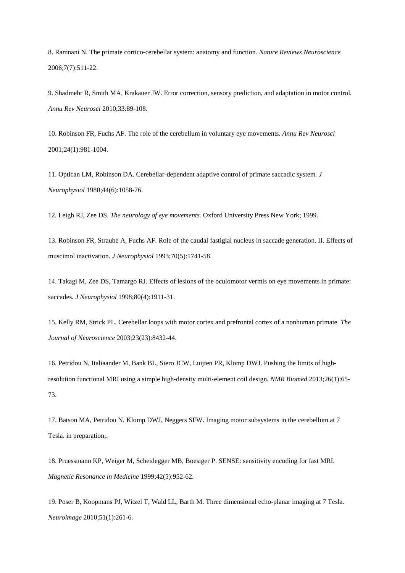8. Ramnani N. The primate cortico-cerebellar system: anatomy and function*. Nature Reviews Neuroscience* 2006;7(7):511-22.

9. Shadmehr R, Smith MA, Krakauer JW. Error correction, sensory prediction, and adaptation in motor control*. Annu Rev Neurosci* 2010;33:89-108.

10. Robinson FR, Fuchs AF. The role of the cerebellum in voluntary eye movements*. Annu Rev Neurosci* 2001;24(1):981-1004.

11. Optican LM, Robinson DA. Cerebellar-dependent adaptive control of primate saccadic system*. J Neurophysiol* 1980;44(6):1058-76.

12. Leigh RJ, Zee DS. *The neurology of eye movements.* Oxford University Press New York; 1999.

13. Robinson FR, Straube A, Fuchs AF. Role of the caudal fastigial nucleus in saccade generation. II. Effects of muscimol inactivation*. J Neurophysiol* 1993;70(5):1741-58.

14. Takagi M, Zee DS, Tamargo RJ. Effects of lesions of the oculomotor vermis on eye movements in primate: saccades*. J Neurophysiol* 1998;80(4):1911-31.

15. Kelly RM, Strick PL. Cerebellar loops with motor cortex and prefrontal cortex of a nonhuman primate*. The Journal of Neuroscience* 2003;23(23):8432-44.

16. Petridou N, Italiaander M, Bank BL, Siero JCW, Luijten PR, Klomp DWJ. Pushing the limits of high‐ resolution functional MRI using a simple high‐density multi‐element coil design*. NMR Biomed* 2013;26(1):65- 73.

17. Batson MA, Petridou N, Klomp DWJ, Neggers SFW. Imaging motor subsystems in the cerebellum at 7 Tesla. in preparation;.

18. Pruessmann KP, Weiger M, Scheidegger MB, Boesiger P. SENSE: sensitivity encoding for fast MRI*. Magnetic Resonance in Medicine* 1999;42(5):952-62.

19. Poser B, Koopmans PJ, Witzel T, Wald LL, Barth M. Three dimensional echo-planar imaging at 7 Tesla*. Neuroimage* 2010;51(1):261-6.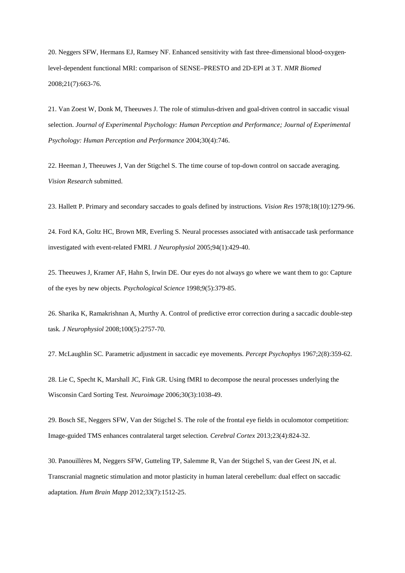20. Neggers SFW, Hermans EJ, Ramsey NF. Enhanced sensitivity with fast three-dimensional blood-oxygenlevel‐dependent functional MRI: comparison of SENSE–PRESTO and 2D‐EPI at 3 T*. NMR Biomed* 2008;21(7):663-76.

21. Van Zoest W, Donk M, Theeuwes J. The role of stimulus-driven and goal-driven control in saccadic visual selection. *Journal of Experimental Psychology: Human Perception and Performance; Journal of Experimental Psychology: Human Perception and Performance* 2004;30(4):746.

22. Heeman J, Theeuwes J, Van der Stigchel S. The time course of top-down control on saccade averaging*. Vision Research* submitted.

23. Hallett P. Primary and secondary saccades to goals defined by instructions*. Vision Res* 1978;18(10):1279-96.

24. Ford KA, Goltz HC, Brown MR, Everling S. Neural processes associated with antisaccade task performance investigated with event-related FMRI*. J Neurophysiol* 2005;94(1):429-40.

25. Theeuwes J, Kramer AF, Hahn S, Irwin DE. Our eyes do not always go where we want them to go: Capture of the eyes by new objects*. Psychological Science* 1998;9(5):379-85.

26. Sharika K, Ramakrishnan A, Murthy A. Control of predictive error correction during a saccadic double-step task*. J Neurophysiol* 2008;100(5):2757-70.

27. McLaughlin SC. Parametric adjustment in saccadic eye movements*. Percept Psychophys* 1967;2(8):359-62.

28. Lie C, Specht K, Marshall JC, Fink GR. Using fMRI to decompose the neural processes underlying the Wisconsin Card Sorting Test*. Neuroimage* 2006;30(3):1038-49.

29. Bosch SE, Neggers SFW, Van der Stigchel S. The role of the frontal eye fields in oculomotor competition: Image-guided TMS enhances contralateral target selection*. Cerebral Cortex* 2013;23(4):824-32.

30. Panouillères M, Neggers SFW, Gutteling TP, Salemme R, Van der Stigchel S, van der Geest JN, et al. Transcranial magnetic stimulation and motor plasticity in human lateral cerebellum: dual effect on saccadic adaptation*. Hum Brain Mapp* 2012;33(7):1512-25.